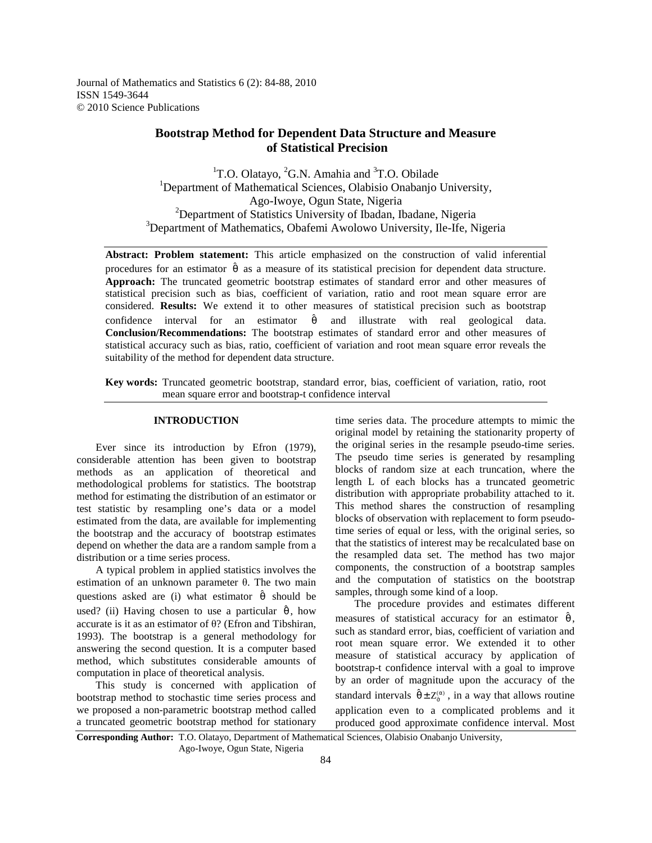Journal of Mathematics and Statistics 6 (2): 84-88, 2010 ISSN 1549-3644 © 2010 Science Publications

# **Bootstrap Method for Dependent Data Structure and Measure of Statistical Precision**

<sup>1</sup>T.O. Olatayo, <sup>2</sup>G.N. Amahia and  ${}^{3}$ T.O. Obilade <sup>1</sup>Department of Mathematical Sciences, Olabisio Onabanjo University, Ago-Iwoye, Ogun State, Nigeria <sup>2</sup>Department of Statistics University of Ibadan, Ibadane, Nigeria <sup>3</sup>Department of Mathematics, Obafemi Awolowo University, Ile-Ife, Nigeria

**Abstract: Problem statement:** This article emphasized on the construction of valid inferential procedures for an estimator  $\hat{\theta}$  as a measure of its statistical precision for dependent data structure. **Approach:** The truncated geometric bootstrap estimates of standard error and other measures of statistical precision such as bias, coefficient of variation, ratio and root mean square error are considered. **Results:** We extend it to other measures of statistical precision such as bootstrap confidence interval for an estimator  $\hat{\theta}$  and illustrate with real geological data. **Conclusion/Recommendations:** The bootstrap estimates of standard error and other measures of statistical accuracy such as bias, ratio, coefficient of variation and root mean square error reveals the suitability of the method for dependent data structure.

**Key words:** Truncated geometric bootstrap, standard error, bias, coefficient of variation, ratio, root mean square error and bootstrap-t confidence interval

## **INTRODUCTION**

Ever since its introduction by Efron (1979), considerable attention has been given to bootstrap methods as an application of theoretical and methodological problems for statistics. The bootstrap method for estimating the distribution of an estimator or test statistic by resampling one's data or a model estimated from the data, are available for implementing the bootstrap and the accuracy of bootstrap estimates depend on whether the data are a random sample from a distribution or a time series process.

 A typical problem in applied statistics involves the estimation of an unknown parameter θ. The two main questions asked are (i) what estimator  $\hat{\theta}$  should be used? (ii) Having chosen to use a particular  $\hat{\theta}$ , how accurate is it as an estimator of  $\theta$ ? (Efron and Tibshiran, 1993). The bootstrap is a general methodology for answering the second question. It is a computer based method, which substitutes considerable amounts of computation in place of theoretical analysis.

 This study is concerned with application of bootstrap method to stochastic time series process and we proposed a non-parametric bootstrap method called a truncated geometric bootstrap method for stationary

time series data. The procedure attempts to mimic the original model by retaining the stationarity property of the original series in the resample pseudo-time series. The pseudo time series is generated by resampling blocks of random size at each truncation, where the length L of each blocks has a truncated geometric distribution with appropriate probability attached to it. This method shares the construction of resampling blocks of observation with replacement to form pseudotime series of equal or less, with the original series, so that the statistics of interest may be recalculated base on the resampled data set. The method has two major components, the construction of a bootstrap samples and the computation of statistics on the bootstrap samples, through some kind of a loop.

 The procedure provides and estimates different measures of statistical accuracy for an estimator  $\hat{\theta}$ , such as standard error, bias, coefficient of variation and root mean square error. We extended it to other measure of statistical accuracy by application of bootstrap-t confidence interval with a goal to improve by an order of magnitude upon the accuracy of the standard intervals  $\hat{\theta} \pm Z_{\hat{\sigma}}^{(\alpha)}$ , in a way that allows routine application even to a complicated problems and it produced good approximate confidence interval. Most

**Corresponding Author:** T.O. Olatayo, Department of Mathematical Sciences, Olabisio Onabanjo University, Ago-Iwoye, Ogun State, Nigeria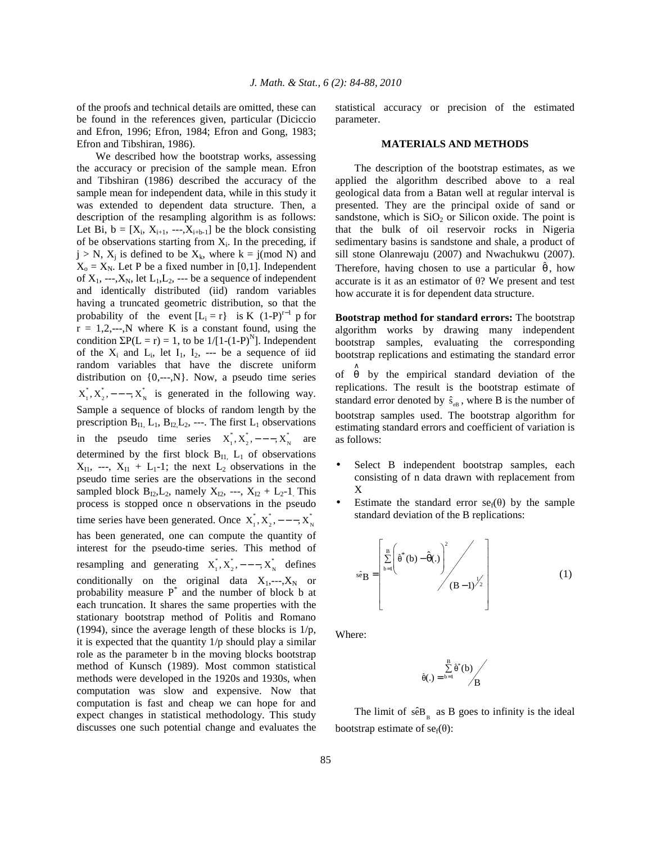of the proofs and technical details are omitted, these can be found in the references given, particular (Diciccio and Efron, 1996; Efron, 1984; Efron and Gong, 1983; Efron and Tibshiran, 1986).

 We described how the bootstrap works, assessing the accuracy or precision of the sample mean. Efron and Tibshiran (1986) described the accuracy of the sample mean for independent data, while in this study it was extended to dependent data structure. Then, a description of the resampling algorithm is as follows: Let Bi,  $b = [X_i, X_{i+1}, \dots, X_{i+b-1}]$  be the block consisting of be observations starting from  $X_i$ . In the preceding, if  $j > N$ ,  $X_j$  is defined to be  $X_k$ , where  $k = j \pmod{N}$  and  $X_0 = X_N$ . Let P be a fixed number in [0,1]. Independent of  $X_1$ , ---, $X_N$ , let  $L_1, L_2$ , --- be a sequence of independent and identically distributed (iid) random variables having a truncated geometric distribution, so that the probability of the event  $[L_i = r]$  is K  $(1-P)^{r-1}$  p for  $r = 1, 2, \dots, N$  where K is a constant found, using the condition  $\Sigma P(L = r) = 1$ , to be  $1/[1-(1-P)^{N}]$ . Independent of the  $X_i$  and  $L_i$ , let  $I_1$ ,  $I_2$ , --- be a sequence of iid random variables that have the discrete uniform distribution on  $\{0, \text{-}-, N\}$ . Now, a pseudo time series  $X^*_1, X^*_2, ---, X^*_N$  is generated in the following way. Sample a sequence of blocks of random length by the prescription  $B_{11}$ ,  $L_1$ ,  $B_{12}$ ,  $L_2$ , ---. The first  $L_1$  observations in the pseudo time series  $X_1^*, X_2^*, ---, X_N^*$  are determined by the first block  $B<sub>II</sub>$ ,  $L<sub>1</sub>$  of observations  $X_{11}$ , ---,  $X_{11} + L_1-1$ ; the next  $L_2$  observations in the pseudo time series are the observations in the second sampled block  $B_{12}, L_2$ , namely  $X_{12}$ , ---,  $X_{12} + L_2-1$ . This process is stopped once n observations in the pseudo time series have been generated. Once  $X_1^*, X_2^*, ---, X_N^*$ has been generated, one can compute the quantity of interest for the pseudo-time series. This method of resampling and generating  $X_1^*, X_2^*, ---, X_N^*$  defines conditionally on the original data  $X_1, \dots, X_N$  or probability measure  $P^*$  and the number of block b at each truncation. It shares the same properties with the stationary bootstrap method of Politis and Romano (1994), since the average length of these blocks is 1/p, it is expected that the quantity  $1/p$  should play a similar role as the parameter b in the moving blocks bootstrap method of Kunsch (1989). Most common statistical methods were developed in the 1920s and 1930s, when computation was slow and expensive. Now that computation is fast and cheap we can hope for and expect changes in statistical methodology. This study discusses one such potential change and evaluates the

statistical accuracy or precision of the estimated parameter.

#### **MATERIALS AND METHODS**

 The description of the bootstrap estimates, as we applied the algorithm described above to a real geological data from a Batan well at regular interval is presented. They are the principal oxide of sand or sandstone, which is  $SiO<sub>2</sub>$  or Silicon oxide. The point is that the bulk of oil reservoir rocks in Nigeria sedimentary basins is sandstone and shale, a product of sill stone Olanrewaju (2007) and Nwachukwu (2007). Therefore, having chosen to use a particular  $\hat{\theta}$ , how accurate is it as an estimator of θ? We present and test how accurate it is for dependent data structure.

**Bootstrap method for standard errors:** The bootstrap algorithm works by drawing many independent bootstrap samples, evaluating the corresponding bootstrap replications and estimating the standard error

of  $\hat{\theta}$  by the empirical standard deviation of the replications. The result is the bootstrap estimate of standard error denoted by  $\hat{s}_{eB}$ , where B is the number of bootstrap samples used. The bootstrap algorithm for estimating standard errors and coefficient of variation is as follows:

- Select B independent bootstrap samples, each consisting of n data drawn with replacement from X
- Estimate the standard error  $se<sub>f</sub>(\theta)$  by the sample standard deviation of the B replications:

$$
\hat{\mathbf{se}}_{\mathbf{B}} = \begin{bmatrix} \sum_{b=1}^{B} \left( \hat{\theta}^*(b) - \hat{\theta}(.) \right)^2 \\ 0 \\ 0 \end{bmatrix} \begin{pmatrix} 0 \\ (B-1)^{\frac{1}{2}} \end{pmatrix}
$$
 (1)

Where:

$$
(.) = \sum_{b=1}^{B} \hat{\theta}^*(b) / B
$$

 $\hat{\theta}$ 

The limit of  $\hat{\text{se}}_{B}$  as B goes to infinity is the ideal bootstrap estimate of  $se<sub>f</sub>(\theta)$ :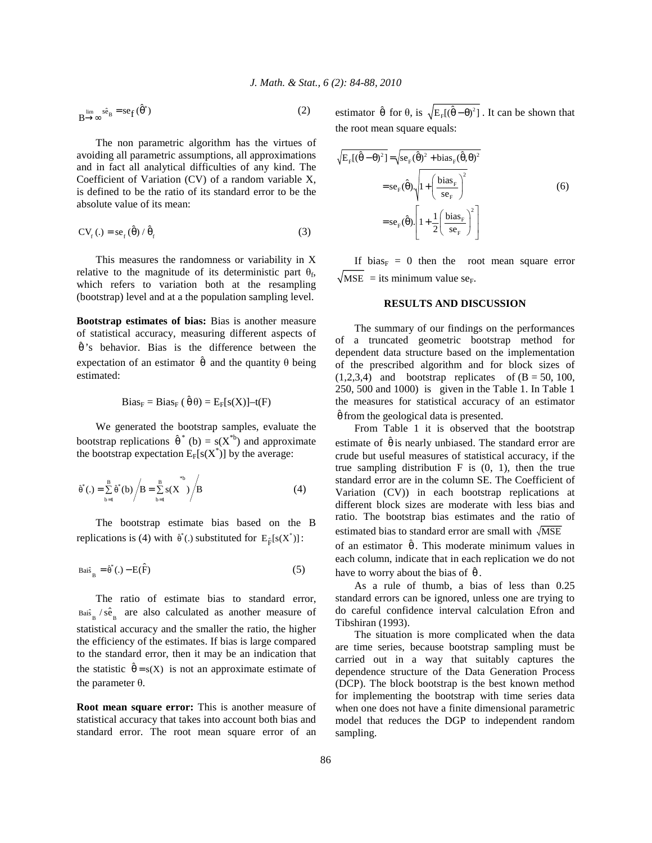$$
B \xrightarrow{\lim} s\hat{e}_B = s e_f (\hat{\theta}^*)
$$
 (2)

 The non parametric algorithm has the virtues of avoiding all parametric assumptions, all approximations and in fact all analytical difficulties of any kind. The Coefficient of Variation (CV) of a random variable X, is defined to be the ratio of its standard error to be the absolute value of its mean:

$$
CVf(.) = sef( $\hat{\theta}$ ) /  $\hat{\theta}$ <sub>f</sub>
$$
 (3)

 This measures the randomness or variability in X relative to the magnitude of its deterministic part  $\theta_f$ , which refers to variation both at the resampling (bootstrap) level and at a the population sampling level.

**Bootstrap estimates of bias:** Bias is another measure of statistical accuracy, measuring different aspects of  $\hat{\theta}$ 's behavior. Bias is the difference between the expectation of an estimator  $\hat{\theta}$  and the quantity  $\theta$  being estimated:

$$
Bias_F = Bias_F (\hat{\theta} \theta) = E_F[s(X)] - t(F)
$$

 We generated the bootstrap samples, evaluate the bootstrap replications  $\hat{\theta}^*$  (b) = s(X<sup>\*b</sup>) and approximate the bootstrap expectation  $E_F[s(X^*)]$  by the average:

$$
\hat{\theta}^*(.) = \sum_{b=1}^{B} \hat{\theta}^*(b) / B = \sum_{b=1}^{B} s(X^*) / B
$$
 (4)

 The bootstrap estimate bias based on the B replications is (4) with  $\hat{\theta}^*$ (.) substituted for  $E_{\hat{F}}[s(X^*)]$ :

$$
Bai\hat{s}_{B} = \hat{\theta}^{*}(.) - E(\hat{F})
$$
\n(5)

 The ratio of estimate bias to standard error,  $_{Bais}$  /  $s\hat{e}$ <sub>B</sub> are also calculated as another measure of statistical accuracy and the smaller the ratio, the higher the efficiency of the estimates. If bias is large compared to the standard error, then it may be an indication that the statistic  $\hat{\theta} = s(X)$  is not an approximate estimate of the parameter θ.

**Root mean square error:** This is another measure of statistical accuracy that takes into account both bias and standard error. The root mean square error of an

estimator  $\hat{\theta}$  for  $\theta$ , is  $\sqrt{E_F[(\hat{\theta} - \theta)^2]}$ . It can be shown that the root mean square equals:

$$
\sqrt{E_{\rm F}[(\hat{\theta} - \theta)^2]} = \sqrt{\text{se}_{\rm F}(\hat{\theta})^2 + \text{bias}_{\rm F}(\hat{\theta}, \theta)^2}
$$
  
= se\_{\rm F}(\hat{\theta}) \sqrt{1 + \left(\frac{\text{bias}\_{\rm F}}{\text{se}\_{\rm F}}\right)^2}   
= se\_{\rm F}(\hat{\theta}).\left[1 + \frac{1}{2}\left(\frac{\text{bias}\_{\rm F}}{\text{se}\_{\rm F}}\right)^2\right] \tag{6}

If bias<sub>F</sub> = 0 then the root mean square error  $\sqrt{MSE}$  = its minimum value se<sub>F</sub>.

#### **RESULTS AND DISCUSSION**

 The summary of our findings on the performances of a truncated geometric bootstrap method for dependent data structure based on the implementation of the prescribed algorithm and for block sizes of  $(1,2,3,4)$  and bootstrap replicates of  $(B = 50, 100,$ 250, 500 and 1000) is given in the Table 1. In Table 1 the measures for statistical accuracy of an estimator  $\hat{\theta}$  from the geological data is presented.

 From Table 1 it is observed that the bootstrap estimate of  $\hat{\theta}$  is nearly unbiased. The standard error are crude but useful measures of statistical accuracy, if the true sampling distribution  $F$  is  $(0, 1)$ , then the true standard error are in the column SE. The Coefficient of Variation (CV)) in each bootstrap replications at different block sizes are moderate with less bias and ratio. The bootstrap bias estimates and the ratio of estimated bias to standard error are small with  $\sqrt{\text{MSE}}$ 

of an estimator  $\hat{\theta}$ . This moderate minimum values in each column, indicate that in each replication we do not have to worry about the bias of  $\hat{\theta}$ .

 As a rule of thumb, a bias of less than 0.25 standard errors can be ignored, unless one are trying to do careful confidence interval calculation Efron and Tibshiran (1993).

 The situation is more complicated when the data are time series, because bootstrap sampling must be carried out in a way that suitably captures the dependence structure of the Data Generation Process (DCP). The block bootstrap is the best known method for implementing the bootstrap with time series data when one does not have a finite dimensional parametric model that reduces the DGP to independent random sampling.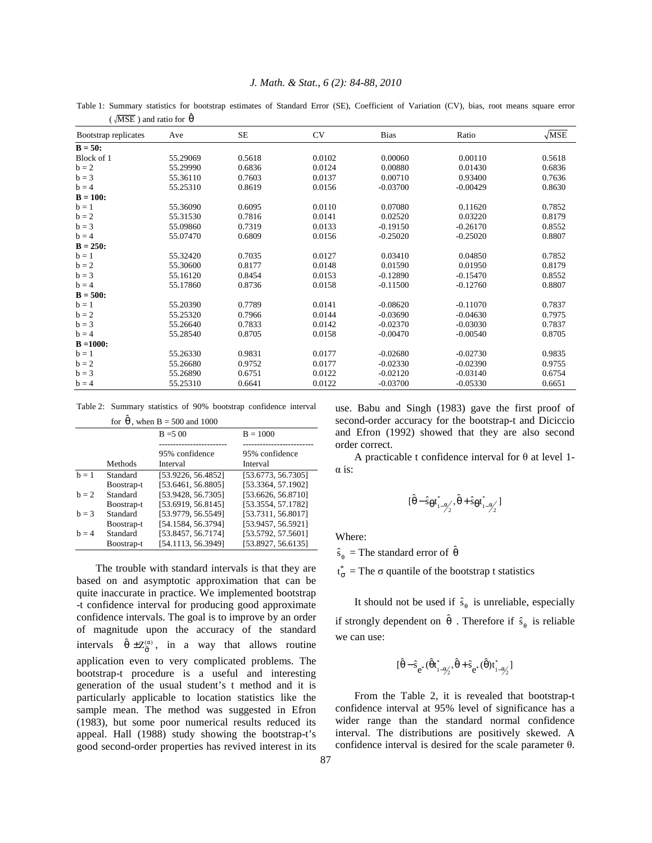#### *J. Math. & Stat., 6 (2): 84-88, 2010*

Table 1: Summary statistics for bootstrap estimates of Standard Error (SE), Coefficient of Variation (CV), bias, root means square error  $(\sqrt{\text{MSE}})$  and ratio for  $\hat{\theta}$ 

| Bootstrap replicates | Ave      | <b>SE</b> | <b>CV</b> | <b>Bias</b> | Ratio      | $\sqrt{\text{MSE}}$ |
|----------------------|----------|-----------|-----------|-------------|------------|---------------------|
| $B = 50$ :           |          |           |           |             |            |                     |
| Block of 1           | 55.29069 | 0.5618    | 0.0102    | 0.00060     | 0.00110    | 0.5618              |
| $b = 2$              | 55.29990 | 0.6836    | 0.0124    | 0.00880     | 0.01430    | 0.6836              |
| $b = 3$              | 55.36110 | 0.7603    | 0.0137    | 0.00710     | 0.93400    | 0.7636              |
| $b = 4$              | 55.25310 | 0.8619    | 0.0156    | $-0.03700$  | $-0.00429$ | 0.8630              |
| $B = 100:$           |          |           |           |             |            |                     |
| $b = 1$              | 55.36090 | 0.6095    | 0.0110    | 0.07080     | 0.11620    | 0.7852              |
| $b = 2$              | 55.31530 | 0.7816    | 0.0141    | 0.02520     | 0.03220    | 0.8179              |
| $b = 3$              | 55.09860 | 0.7319    | 0.0133    | $-0.19150$  | $-0.26170$ | 0.8552              |
| $b = 4$              | 55.07470 | 0.6809    | 0.0156    | $-0.25020$  | $-0.25020$ | 0.8807              |
| $B = 250:$           |          |           |           |             |            |                     |
| $b = 1$              | 55.32420 | 0.7035    | 0.0127    | 0.03410     | 0.04850    | 0.7852              |
| $h = 2$              | 55.30600 | 0.8177    | 0.0148    | 0.01590     | 0.01950    | 0.8179              |
| $b = 3$              | 55.16120 | 0.8454    | 0.0153    | $-0.12890$  | $-0.15470$ | 0.8552              |
| $b = 4$              | 55.17860 | 0.8736    | 0.0158    | $-0.11500$  | $-0.12760$ | 0.8807              |
| $B = 500:$           |          |           |           |             |            |                     |
| $b = 1$              | 55.20390 | 0.7789    | 0.0141    | $-0.08620$  | $-0.11070$ | 0.7837              |
| $b = 2$              | 55.25320 | 0.7966    | 0.0144    | $-0.03690$  | $-0.04630$ | 0.7975              |
| $b = 3$              | 55.26640 | 0.7833    | 0.0142    | $-0.02370$  | $-0.03030$ | 0.7837              |
| $b = 4$              | 55.28540 | 0.8705    | 0.0158    | $-0.00470$  | $-0.00540$ | 0.8705              |
| $B = 1000$ :         |          |           |           |             |            |                     |
| $b = 1$              | 55.26330 | 0.9831    | 0.0177    | $-0.02680$  | $-0.02730$ | 0.9835              |
| $b = 2$              | 55.26680 | 0.9752    | 0.0177    | $-0.02330$  | $-0.02390$ | 0.9755              |
| $b = 3$              | 55.26890 | 0.6751    | 0.0122    | $-0.02120$  | $-0.03140$ | 0.6754              |
| $b = 4$              | 55.25310 | 0.6641    | 0.0122    | $-0.03700$  | $-0.05330$ | 0.6651              |

Table 2: Summary statistics of 90% bootstrap confidence interval

| for $\theta$ , when B = 500 and 1000 |                                      |                                                                |                                                                |  |  |
|--------------------------------------|--------------------------------------|----------------------------------------------------------------|----------------------------------------------------------------|--|--|
|                                      |                                      | $B = 500$                                                      | $B = 1000$                                                     |  |  |
|                                      | Methods                              | 95% confidence<br>Interval                                     | 95% confidence<br>Interval                                     |  |  |
| $h = 1$                              | Standard<br>Boostrap-t               | [53.9226, 56.4852]<br>[53.6461, 56.8805]                       | [53.6773, 56.7305]<br>[53.3364, 57.1902]                       |  |  |
| $h = 2$                              | Standard<br>Boostrap-t               | [53.9428, 56.7305]<br>[53.6919, 56.8145]                       | [53.6626, 56.8710]<br>[53.3554, 57.1782]                       |  |  |
| $h = 3$                              | Standard                             | [53.9779, 56.5549]                                             | [53.7311, 56.8017]                                             |  |  |
| $h = 4$                              | Boostrap-t<br>Standard<br>Boostrap-t | [54.1584, 56.3794]<br>[53.8457, 56.7174]<br>[54.1113, 56.3949] | [53.9457, 56.5921]<br>[53.5792, 57.5601]<br>[53.8927, 56.6135] |  |  |

 The trouble with standard intervals is that they are based on and asymptotic approximation that can be quite inaccurate in practice. We implemented bootstrap -t confidence interval for producing good approximate confidence intervals. The goal is to improve by an order of magnitude upon the accuracy of the standard intervals  $\hat{\theta} \pm Z_{\hat{\sigma}}^{(\alpha)}$ , in a way that allows routine application even to very complicated problems. The bootstrap-t procedure is a useful and interesting generation of the usual student's t method and it is particularly applicable to location statistics like the sample mean. The method was suggested in Efron (1983), but some poor numerical results reduced its appeal. Hall (1988) study showing the bootstrap-t's good second-order properties has revived interest in its

use. Babu and Singh (1983) gave the first proof of second-order accuracy for the bootstrap-t and Diciccio and Efron (1992) showed that they are also second order correct.

A practicable t confidence interval for  $\theta$  at level 1- $\alpha$  is:

$$
[\hat{\theta} - \hat{s}_{\theta}t_{1-\alpha/2}^*, \hat{\theta} + \hat{s}_{\theta}t_{1-\alpha/2}^*]
$$

Where:

 $\hat{s}_{\theta}$  = The standard error of  $\hat{\theta}$ 

 $t_{\sigma}^*$  = The  $\sigma$  quantile of the bootstrap t statistics

It should not be used if  $\hat{s}_{\theta}$  is unreliable, especially if strongly dependent on  $\hat{\theta}$ . Therefore if  $\hat{s}_{\theta}$  is reliable we can use:

$$
[\hat{\theta}-\hat{s}_{e^*}(\hat{\theta}t_{1-\alpha_2'}^*,\hat{\theta}+\hat{s}_{e^*}(\hat{\theta})t_{1-\alpha_2'}^*]
$$

 From the Table 2, it is revealed that bootstrap-t confidence interval at 95% level of significance has a wider range than the standard normal confidence interval. The distributions are positively skewed. A confidence interval is desired for the scale parameter θ.